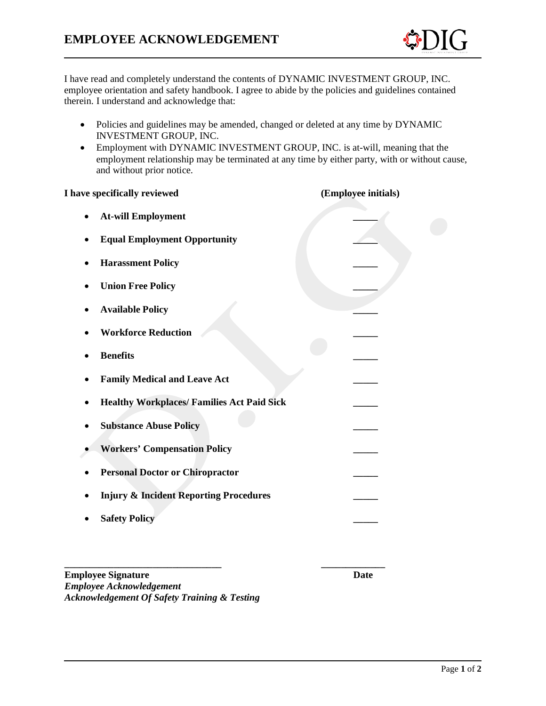

I have read and completely understand the contents of DYNAMIC INVESTMENT GROUP, INC. employee orientation and safety handbook. I agree to abide by the policies and guidelines contained therein. I understand and acknowledge that:

- Policies and guidelines may be amended, changed or deleted at any time by DYNAMIC INVESTMENT GROUP, INC.
- Employment with DYNAMIC INVESTMENT GROUP, INC. is at-will, meaning that the employment relationship may be terminated at any time by either party, with or without cause, and without prior notice.

| I have specifically reviewed                      | (Employee initials) |
|---------------------------------------------------|---------------------|
| <b>At-will Employment</b><br>$\bullet$            |                     |
| <b>Equal Employment Opportunity</b>               |                     |
| <b>Harassment Policy</b>                          |                     |
| <b>Union Free Policy</b>                          |                     |
| <b>Available Policy</b>                           |                     |
| <b>Workforce Reduction</b>                        |                     |
| <b>Benefits</b>                                   |                     |
| <b>Family Medical and Leave Act</b>               |                     |
| <b>Healthy Workplaces/ Families Act Paid Sick</b> |                     |
| <b>Substance Abuse Policy</b>                     |                     |
| <b>Workers' Compensation Policy</b>               |                     |
| <b>Personal Doctor or Chiropractor</b>            |                     |
| <b>Injury &amp; Incident Reporting Procedures</b> |                     |
| <b>Safety Policy</b>                              |                     |
|                                                   |                     |

**\_\_\_\_\_\_\_\_\_\_\_\_\_\_\_\_\_\_\_\_\_\_\_\_\_\_\_\_\_\_\_\_ \_\_\_\_\_\_\_\_\_\_\_\_\_ Employee Signature Date** *Employee Acknowledgement Acknowledgement Of Safety Training & Testing*